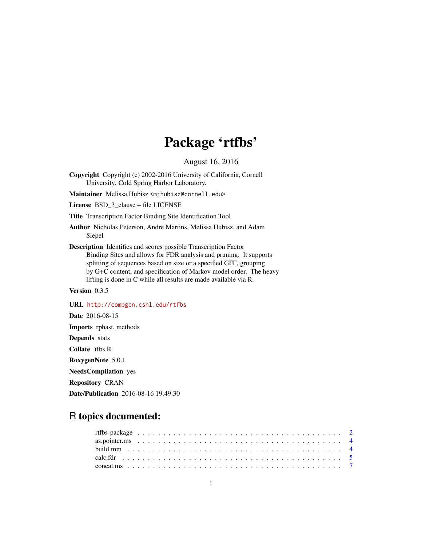# Package 'rtfbs'

August 16, 2016

Copyright Copyright (c) 2002-2016 University of California, Cornell University, Cold Spring Harbor Laboratory.

Maintainer Melissa Hubisz <mjhubisz@cornell.edu>

License BSD\_3\_clause + file LICENSE

Title Transcription Factor Binding Site Identification Tool

Author Nicholas Peterson, Andre Martins, Melissa Hubisz, and Adam Siepel

Description Identifies and scores possible Transcription Factor Binding Sites and allows for FDR analysis and pruning. It supports splitting of sequences based on size or a specified GFF, grouping by G+C content, and specification of Markov model order. The heavy lifting is done in C while all results are made available via R.

# Version 0.3.5

URL <http://compgen.cshl.edu/rtfbs> Date 2016-08-15 Imports rphast, methods Depends stats Collate 'tfbs.R' RoxygenNote 5.0.1 NeedsCompilation yes Repository CRAN Date/Publication 2016-08-16 19:49:30

# R topics documented: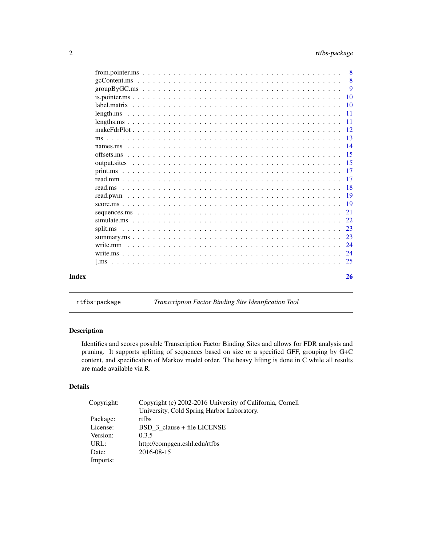<span id="page-1-0"></span>

| Index |                                                                                                                               | 26  |
|-------|-------------------------------------------------------------------------------------------------------------------------------|-----|
|       |                                                                                                                               |     |
|       |                                                                                                                               |     |
|       |                                                                                                                               |     |
|       |                                                                                                                               | 23  |
|       |                                                                                                                               | 23  |
|       |                                                                                                                               | 22  |
|       |                                                                                                                               | 21  |
|       |                                                                                                                               |     |
|       |                                                                                                                               |     |
|       |                                                                                                                               |     |
|       |                                                                                                                               |     |
|       |                                                                                                                               |     |
|       |                                                                                                                               |     |
|       |                                                                                                                               |     |
|       |                                                                                                                               |     |
|       |                                                                                                                               | -13 |
|       |                                                                                                                               |     |
|       |                                                                                                                               |     |
|       |                                                                                                                               |     |
|       |                                                                                                                               |     |
|       |                                                                                                                               | 10  |
|       |                                                                                                                               | - 9 |
|       |                                                                                                                               | -8  |
|       | from pointer ms $\dots \dots \dots \dots \dots \dots \dots \dots \dots \dots \dots \dots \dots \dots \dots \dots \dots \dots$ | -8  |

rtfbs-package *Transcription Factor Binding Site Identification Tool*

# Description

Identifies and scores possible Transcription Factor Binding Sites and allows for FDR analysis and pruning. It supports splitting of sequences based on size or a specified GFF, grouping by G+C content, and specification of Markov model order. The heavy lifting is done in C while all results are made available via R.

# Details

| Copyright: | Copyright (c) 2002-2016 University of California, Cornell |
|------------|-----------------------------------------------------------|
|            | University, Cold Spring Harbor Laboratory.                |
| Package:   | rtfbs                                                     |
| License:   | BSD 3 clause + file LICENSE                               |
| Version:   | 0.3.5                                                     |
| URL:       | http://compgen.cshl.edu/rtfbs                             |
| Date:      | 2016-08-15                                                |
| Imports:   |                                                           |
|            |                                                           |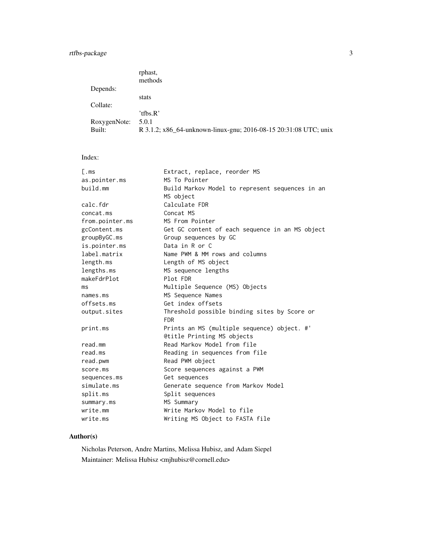# rtfbs-package 3

|              | rphast,                                                          |
|--------------|------------------------------------------------------------------|
|              | methods                                                          |
| Depends:     |                                                                  |
|              | stats                                                            |
| Collate:     |                                                                  |
|              | 'tfbs. $R'$                                                      |
| RoxygenNote: | 5.0.1                                                            |
| Built:       | R 3.1.2; x86_64-unknown-linux-gnu; 2016-08-15 20:31:08 UTC; unix |

# Index:

| L.ms            | Extract, replace, reorder MS                               |
|-----------------|------------------------------------------------------------|
| as.pointer.ms   | MS To Pointer                                              |
| build.mm        | Build Markov Model to represent sequences in an            |
|                 | MS object                                                  |
| calc.fdr        | Calculate FDR                                              |
| concat.ms       | Concat MS                                                  |
| from.pointer.ms | MS From Pointer                                            |
| gcContent.ms    | Get GC content of each sequence in an MS object            |
| groupByGC.ms    | Group sequences by GC                                      |
| is.pointer.ms   | Data in R or C                                             |
| label.matrix    | Name PWM & MM rows and columns                             |
| length.ms       | Length of MS object                                        |
| lengths.ms      | MS sequence lengths                                        |
| makeFdrPlot     | Plot FDR                                                   |
| ms              | Multiple Sequence (MS) Objects                             |
| names.ms        | MS Sequence Names                                          |
| offsets.ms      | Get index offsets                                          |
| output.sites    | Threshold possible binding sites by Score or<br><b>FDR</b> |
| print.ms        | Prints an MS (multiple sequence) object. #'                |
|                 | <b>@title Printing MS objects</b>                          |
| read.mm         | Read Markov Model from file                                |
| read.ms         | Reading in sequences from file                             |
| read.pwm        | Read PWM object                                            |
| score.ms        |                                                            |
|                 | Score sequences against a PWM                              |
| sequences.ms    | Get sequences                                              |
| simulate.ms     | Generate sequence from Markov Model                        |
| split.ms        | Split sequences                                            |
| summary.ms      | MS Summary                                                 |
| write.mm        | Write Markov Model to file                                 |
| write.ms        | Writing MS Object to FASTA file                            |

# Author(s)

Nicholas Peterson, Andre Martins, Melissa Hubisz, and Adam Siepel Maintainer: Melissa Hubisz <mjhubisz@cornell.edu>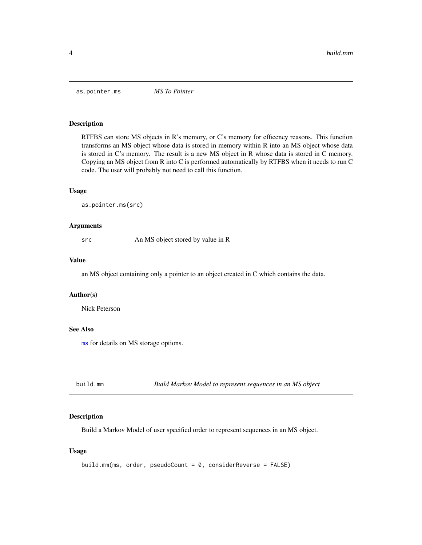<span id="page-3-1"></span><span id="page-3-0"></span>as.pointer.ms *MS To Pointer*

#### Description

RTFBS can store MS objects in R's memory, or C's memory for efficency reasons. This function transforms an MS object whose data is stored in memory within R into an MS object whose data is stored in C's memory. The result is a new MS object in R whose data is stored in C memory. Copying an MS object from R into C is performed automatically by RTFBS when it needs to run C code. The user will probably not need to call this function.

#### Usage

as.pointer.ms(src)

#### Arguments

src An MS object stored by value in R

# Value

an MS object containing only a pointer to an object created in C which contains the data.

# Author(s)

Nick Peterson

# See Also

[ms](#page-12-1) for details on MS storage options.

<span id="page-3-2"></span>build.mm *Build Markov Model to represent sequences in an MS object*

# Description

Build a Markov Model of user specified order to represent sequences in an MS object.

# Usage

```
build.mm(ms, order, pseudoCount = 0, considerReverse = FALSE)
```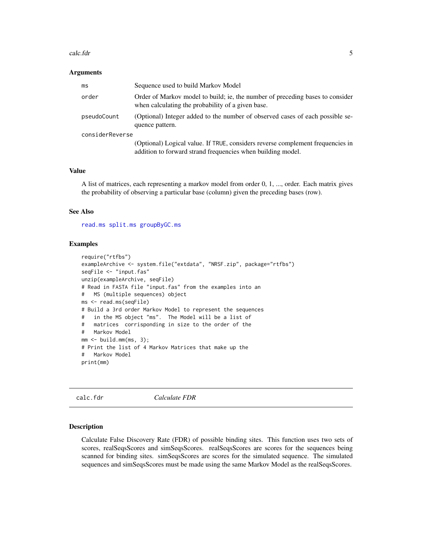#### <span id="page-4-0"></span>calc.fdr 5

#### **Arguments**

| ms              | Sequence used to build Markov Model                                                                                                           |
|-----------------|-----------------------------------------------------------------------------------------------------------------------------------------------|
| order           | Order of Markov model to build; ie, the number of preceding bases to consider<br>when calculating the probability of a given base.            |
| pseudoCount     | (Optional) Integer added to the number of observed cases of each possible se-<br>quence pattern.                                              |
| considerReverse |                                                                                                                                               |
|                 | (Optional) Logical value. If TRUE, considers reverse complement frequencies in<br>addition to forward strand frequencies when building model. |

#### Value

A list of matrices, each representing a markov model from order 0, 1, ..., order. Each matrix gives the probability of observing a particular base (column) given the preceding bases (row).

# See Also

[read.ms](#page-17-1) [split.ms](#page-22-1) [groupByGC.ms](#page-8-1)

#### Examples

```
require("rtfbs")
exampleArchive <- system.file("extdata", "NRSF.zip", package="rtfbs")
seqFile <- "input.fas"
unzip(exampleArchive, seqFile)
# Read in FASTA file "input.fas" from the examples into an
# MS (multiple sequences) object
ms <- read.ms(seqFile)
# Build a 3rd order Markov Model to represent the sequences
# in the MS object "ms". The Model will be a list of
# matrices corrisponding in size to the order of the
# Markov Model
mm < - build.mm(ms, 3);# Print the list of 4 Markov Matrices that make up the
# Markov Model
print(mm)
```
calc.fdr *Calculate FDR*

#### Description

Calculate False Discovery Rate (FDR) of possible binding sites. This function uses two sets of scores, realSeqsScores and simSeqsScores. realSeqsScores are scores for the sequences being scanned for binding sites. simSeqsScores are scores for the simulated sequence. The simulated sequences and simSeqsScores must be made using the same Markov Model as the realSeqsScores.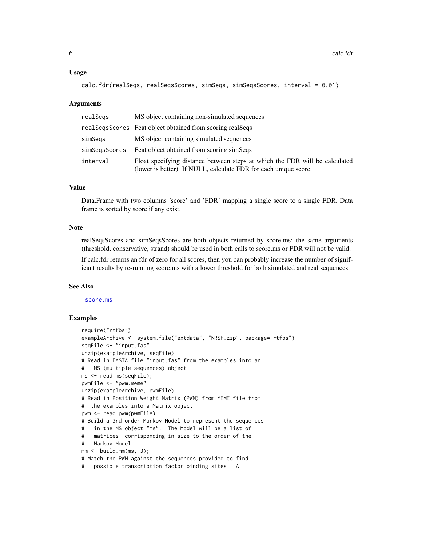#### <span id="page-5-0"></span>Usage

```
calc.fdr(realSeqs, realSeqsScores, simSeqs, simSeqsScores, interval = 0.01)
```
# Arguments

| realSegs      | MS object containing non-simulated sequences                                                                                                    |
|---------------|-------------------------------------------------------------------------------------------------------------------------------------------------|
|               | real Seqs Scores Feat object obtained from scoring real Seqs                                                                                    |
| simSegs       | MS object containing simulated sequences                                                                                                        |
| simSegsScores | Feat object obtained from scoring simSeqs                                                                                                       |
| interval      | Float specifying distance between steps at which the FDR will be calculated<br>(lower is better). If NULL, calculate FDR for each unique score. |

# Value

Data.Frame with two columns 'score' and 'FDR' mapping a single score to a single FDR. Data frame is sorted by score if any exist.

# Note

realSeqsScores and simSeqsScores are both objects returned by score.ms; the same arguments (threshold, conservative, strand) should be used in both calls to score.ms or FDR will not be valid.

If calc.fdr returns an fdr of zero for all scores, then you can probably increase the number of significant results by re-running score.ms with a lower threshold for both simulated and real sequences.

# See Also

[score.ms](#page-18-1)

```
require("rtfbs")
exampleArchive <- system.file("extdata", "NRSF.zip", package="rtfbs")
seqFile <- "input.fas"
unzip(exampleArchive, seqFile)
# Read in FASTA file "input.fas" from the examples into an
# MS (multiple sequences) object
ms <- read.ms(seqFile);
pwmFile <- "pwm.meme"
unzip(exampleArchive, pwmFile)
# Read in Position Weight Matrix (PWM) from MEME file from
# the examples into a Matrix object
pwm <- read.pwm(pwmFile)
# Build a 3rd order Markov Model to represent the sequences
# in the MS object "ms". The Model will be a list of
# matrices corrisponding in size to the order of the
# Markov Model
mm < - build.mm(ms, 3);
# Match the PWM against the sequences provided to find
# possible transcription factor binding sites. A
```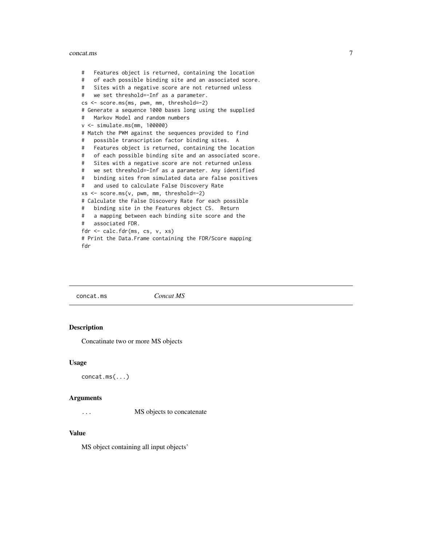#### <span id="page-6-0"></span>concat.ms 7

# Features object is returned, containing the location # of each possible binding site and an associated score. # Sites with a negative score are not returned unless # we set threshold=-Inf as a parameter. cs <- score.ms(ms, pwm, mm, threshold=-2) # Generate a sequence 1000 bases long using the supplied # Markov Model and random numbers v <- simulate.ms(mm, 100000) # Match the PWM against the sequences provided to find # possible transcription factor binding sites. A # Features object is returned, containing the location # of each possible binding site and an associated score. # Sites with a negative score are not returned unless # we set threshold=-Inf as a parameter. Any identified # binding sites from simulated data are false positives # and used to calculate False Discovery Rate xs <- score.ms(v, pwm, mm, threshold=-2) # Calculate the False Discovery Rate for each possible # binding site in the Features object CS. Return # a mapping between each binding site score and the # associated FDR. fdr <- calc.fdr(ms, cs, v, xs) # Print the Data.Frame containing the FDR/Score mapping fdr

concat.ms *Concat MS*

# Description

Concatinate two or more MS objects

#### Usage

concat.ms(...)

#### Arguments

... MS objects to concatenate

# Value

MS object containing all input objects'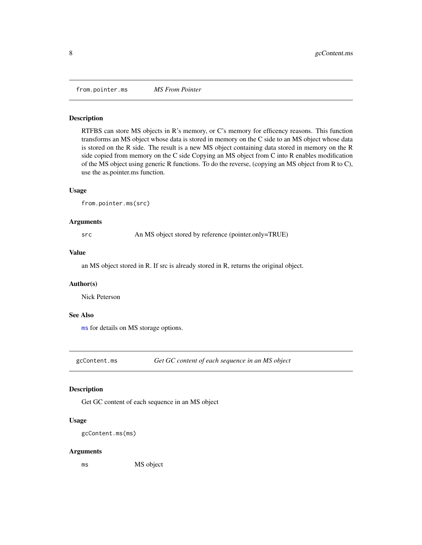<span id="page-7-1"></span><span id="page-7-0"></span>from.pointer.ms *MS From Pointer*

#### Description

RTFBS can store MS objects in R's memory, or C's memory for efficency reasons. This function transforms an MS object whose data is stored in memory on the C side to an MS object whose data is stored on the R side. The result is a new MS object containing data stored in memory on the R side copied from memory on the C side Copying an MS object from C into R enables modification of the MS object using generic R functions. To do the reverse, (copying an MS object from R to C), use the as.pointer.ms function.

#### Usage

from.pointer.ms(src)

# Arguments

src An MS object stored by reference (pointer.only=TRUE)

#### Value

an MS object stored in R. If src is already stored in R, returns the original object.

# Author(s)

Nick Peterson

# See Also

[ms](#page-12-1) for details on MS storage options.

gcContent.ms *Get GC content of each sequence in an MS object*

# Description

Get GC content of each sequence in an MS object

# Usage

gcContent.ms(ms)

#### Arguments

ms MS object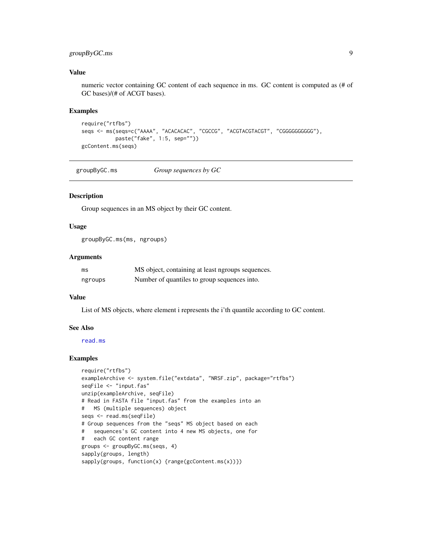# <span id="page-8-0"></span>groupByGC.ms 9

# Value

numeric vector containing GC content of each sequence in ms. GC content is computed as (# of GC bases)/(# of ACGT bases).

#### Examples

```
require("rtfbs")
seqs <- ms(seqs=c("AAAA", "ACACACAC", "CGCCG", "ACGTACGTACGT", "CGGGGGGGGG"),
          paste("fake", 1:5, sep=""))
gcContent.ms(seqs)
```
<span id="page-8-1"></span>groupByGC.ms *Group sequences by GC*

#### Description

Group sequences in an MS object by their GC content.

# Usage

groupByGC.ms(ms, ngroups)

# Arguments

| ms      | MS object, containing at least ngroups sequences. |
|---------|---------------------------------------------------|
| ngroups | Number of quantiles to group sequences into.      |

# Value

List of MS objects, where element i represents the i'th quantile according to GC content.

#### See Also

[read.ms](#page-17-1)

```
require("rtfbs")
exampleArchive <- system.file("extdata", "NRSF.zip", package="rtfbs")
seqFile <- "input.fas"
unzip(exampleArchive, seqFile)
# Read in FASTA file "input.fas" from the examples into an
# MS (multiple sequences) object
seqs <- read.ms(seqFile)
# Group sequences from the "seqs" MS object based on each
# sequences's GC content into 4 new MS objects, one for
# each GC content range
groups <- groupByGC.ms(seqs, 4)
sapply(groups, length)
sapply(groups, function(x) {range(gcContent.ms(x))})
```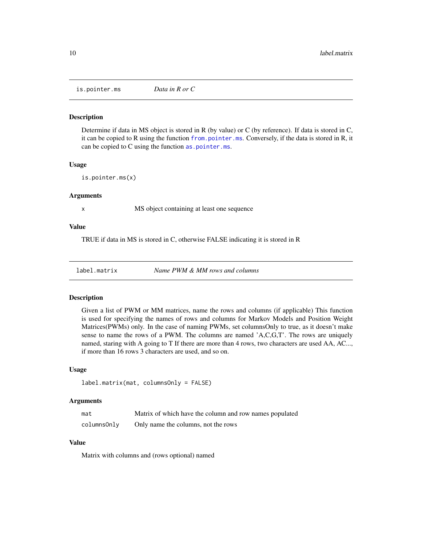<span id="page-9-1"></span><span id="page-9-0"></span>is.pointer.ms *Data in R or C*

# Description

Determine if data in MS object is stored in R (by value) or C (by reference). If data is stored in C, it can be copied to R using the function [from.pointer.ms](#page-7-1). Conversely, if the data is stored in R, it can be copied to C using the function [as.pointer.ms](#page-3-1).

#### Usage

is.pointer.ms(x)

#### Arguments

x MS object containing at least one sequence

#### Value

TRUE if data in MS is stored in C, otherwise FALSE indicating it is stored in R

label.matrix *Name PWM & MM rows and columns*

#### Description

Given a list of PWM or MM matrices, name the rows and columns (if applicable) This function is used for specifying the names of rows and columns for Markov Models and Position Weight Matrices(PWMs) only. In the case of naming PWMs, set columnsOnly to true, as it doesn't make sense to name the rows of a PWM. The columns are named 'A,C,G,T'. The rows are uniquely named, staring with A going to T If there are more than 4 rows, two characters are used AA, AC..., if more than 16 rows 3 characters are used, and so on.

# Usage

```
label.matrix(mat, columnsOnly = FALSE)
```
# Arguments

| mat         | Matrix of which have the column and row names populated |
|-------------|---------------------------------------------------------|
| columnsOnly | Only name the columns, not the rows                     |

# Value

Matrix with columns and (rows optional) named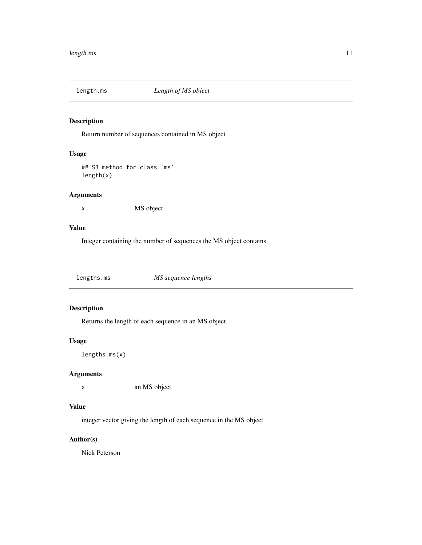<span id="page-10-1"></span><span id="page-10-0"></span>

# Description

Return number of sequences contained in MS object

# Usage

## S3 method for class 'ms' length(x)

# Arguments

x MS object

# Value

Integer containing the number of sequences the MS object contains

<span id="page-10-2"></span>lengths.ms *MS sequence lengths*

# Description

Returns the length of each sequence in an MS object.

# Usage

lengths.ms(x)

# Arguments

x an MS object

# Value

integer vector giving the length of each sequence in the MS object

# Author(s)

Nick Peterson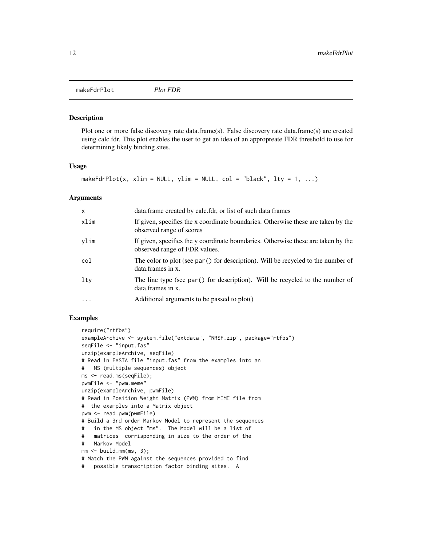<span id="page-11-0"></span>makeFdrPlot *Plot FDR*

#### Description

Plot one or more false discovery rate data.frame(s). False discovery rate data.frame(s) are created using calc.fdr. This plot enables the user to get an idea of an appropreate FDR threshold to use for determining likely binding sites.

# Usage

makeFdrPlot(x, xlim = NULL, ylim = NULL, col = "black", lty = 1, ...)

#### Arguments

| $\mathsf{x}$ | data.frame created by calc.fdr, or list of such data frames                                                        |
|--------------|--------------------------------------------------------------------------------------------------------------------|
| xlim         | If given, specifies the x coordinate boundaries. Otherwise these are taken by the<br>observed range of scores      |
| ylim         | If given, specifies the y coordinate boundaries. Otherwise these are taken by the<br>observed range of FDR values. |
| col          | The color to plot (see par () for description). Will be recycled to the number of<br>data.frames in x.             |
| lty          | The line type (see par() for description). Will be recycled to the number of<br>data.frames in x.                  |
| $\cdots$     | Additional arguments to be passed to plot()                                                                        |

```
require("rtfbs")
exampleArchive <- system.file("extdata", "NRSF.zip", package="rtfbs")
seqFile <- "input.fas"
unzip(exampleArchive, seqFile)
# Read in FASTA file "input.fas" from the examples into an
# MS (multiple sequences) object
ms <- read.ms(seqFile);
pwmFile <- "pwm.meme"
unzip(exampleArchive, pwmFile)
# Read in Position Weight Matrix (PWM) from MEME file from
# the examples into a Matrix object
pwm <- read.pwm(pwmFile)
# Build a 3rd order Markov Model to represent the sequences
# in the MS object "ms". The Model will be a list of
# matrices corrisponding in size to the order of the
# Markov Model
mm < - build.mm(ms, 3);# Match the PWM against the sequences provided to find
# possible transcription factor binding sites. A
```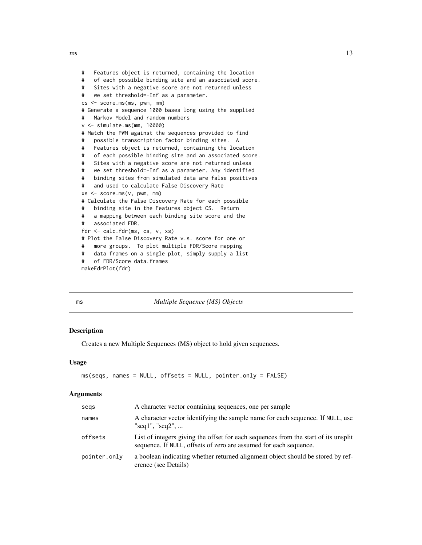```
# Features object is returned, containing the location
# of each possible binding site and an associated score.
# Sites with a negative score are not returned unless
# we set threshold=-Inf as a parameter.
cs <- score.ms(ms, pwm, mm)
# Generate a sequence 1000 bases long using the supplied
# Markov Model and random numbers
v <- simulate.ms(mm, 10000)
# Match the PWM against the sequences provided to find
# possible transcription factor binding sites. A
# Features object is returned, containing the location
# of each possible binding site and an associated score.
# Sites with a negative score are not returned unless
# we set threshold=-Inf as a parameter. Any identified
# binding sites from simulated data are false positives
# and used to calculate False Discovery Rate
xs <- score.ms(v, pwm, mm)
# Calculate the False Discovery Rate for each possible
# binding site in the Features object CS. Return
# a mapping between each binding site score and the
# associated FDR.
fdr <- calc.fdr(ms, cs, v, xs)
# Plot the False Discovery Rate v.s. score for one or
# more groups. To plot multiple FDR/Score mapping
# data frames on a single plot, simply supply a list
# of FDR/Score data.frames
makeFdrPlot(fdr)
```
<span id="page-12-1"></span>

|  | n an |
|--|------|

ms *Multiple Sequence (MS) Objects*

#### **Description**

Creates a new Multiple Sequences (MS) object to hold given sequences.

#### Usage

```
ms(seqs, names = NULL, offsets = NULL, pointer.only = FALSE)
```
#### **Arguments**

| A character vector containing sequences, one per sample                                                                                                  |
|----------------------------------------------------------------------------------------------------------------------------------------------------------|
| A character vector identifying the sample name for each sequence. If NULL, use<br>"seq1", "seq2",                                                        |
| List of integers giving the offset for each sequences from the start of its unsplit<br>sequence. If NULL, offsets of zero are assumed for each sequence. |
| a boolean indicating whether returned alignment object should be stored by ref-<br>erence (see Details)                                                  |
|                                                                                                                                                          |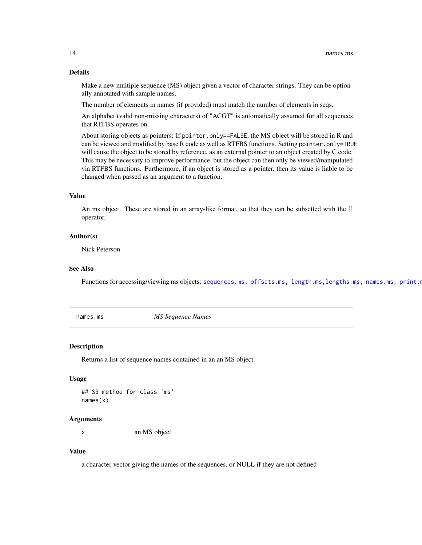#### Details

Make a new multiple sequence (MS) object given a vector of character strings. They can be optionally annotated with sample names.

The number of elements in names (if provided) must match the number of elements in seqs.

An alphabet (valid non-missing characters) of "ACGT" is automatically assumed for all sequences that RTFBS operates on.

About storing objects as pointers: If pointer.only==FALSE, the MS object will be stored in R and can be viewed and modified by base R code as well as RTFBS functions. Setting pointer.only=TRUE will cause the object to be stored by reference, as an external pointer to an object created by C code. This may be necessary to improve performance, but the object can then only be viewed/manipulated via RTFBS functions. Furthermore, if an object is stored as a pointer, then its value is liable to be changed when passed as an argument to a function.

# Value

An ms object. These are stored in an array-like format, so that they can be subsetted with the [] operator.

#### Author(s)

Nick Peterson

# See Also

Functions for accessing/viewing ms objects: [sequences.ms,](#page-20-1) [offsets.ms,](#page-14-1) [length.ms](#page-10-1), lengths.ms, [names.ms,](#page-13-1) print.n

<span id="page-13-1"></span>names.ms *MS Sequence Names*

#### Description

Returns a list of sequence names contained in an an MS object.

# Usage

```
## S3 method for class 'ms'
names(x)
```
#### Arguments

x an MS object

# Value

a character vector giving the names of the sequences, or NULL if they are not defined

<span id="page-13-0"></span>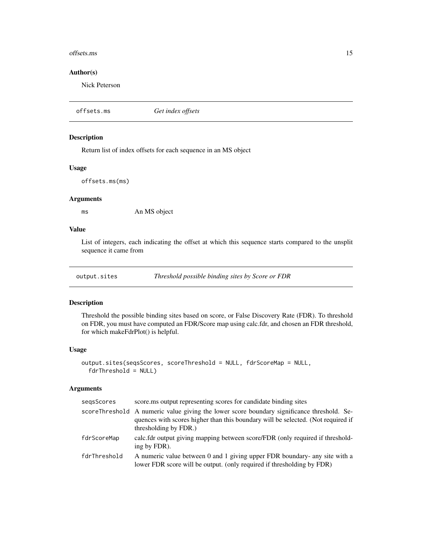#### <span id="page-14-0"></span>offsets.ms 15

# Author(s)

Nick Peterson

```
offsets.ms Get index offsets
```
# Description

Return list of index offsets for each sequence in an MS object

# Usage

offsets.ms(ms)

# Arguments

ms An MS object

# Value

List of integers, each indicating the offset at which this sequence starts compared to the unsplit sequence it came from

output.sites *Threshold possible binding sites by Score or FDR*

# Description

Threshold the possible binding sites based on score, or False Discovery Rate (FDR). To threshold on FDR, you must have computed an FDR/Score map using calc.fdr, and chosen an FDR threshold, for which makeFdrPlot() is helpful.

#### Usage

```
output.sites(seqsScores, scoreThreshold = NULL, fdrScoreMap = NULL,
  fdrThreshold = NULL)
```
#### Arguments

| score.ms output representing scores for candidate binding sites                                                                                                                                         |
|---------------------------------------------------------------------------------------------------------------------------------------------------------------------------------------------------------|
| scoreThreshold A numeric value giving the lower score boundary significance threshold. Se-<br>quences with scores higher than this boundary will be selected. (Not required if<br>thresholding by FDR.) |
| calc.fdr output giving mapping between score/FDR (only required if threshold-<br>ing by FDR).                                                                                                           |
| A numeric value between 0 and 1 giving upper FDR boundary- any site with a<br>lower FDR score will be output. (only required if thresholding by FDR)                                                    |
|                                                                                                                                                                                                         |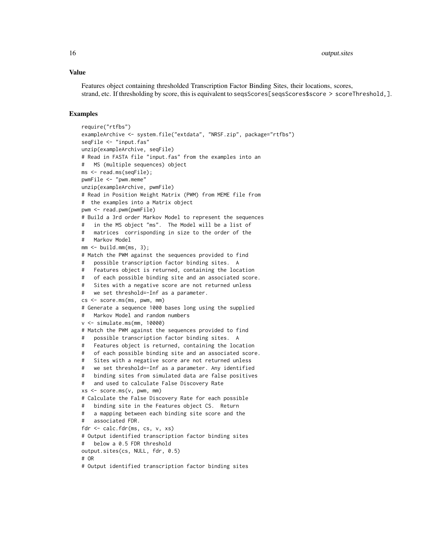#### Value

Features object containing thresholded Transcription Factor Binding Sites, their locations, scores, strand, etc. If thresholding by score, this is equivalent to seqsScores[seqsScores\$score > scoreThreshold, ].

```
require("rtfbs")
exampleArchive <- system.file("extdata", "NRSF.zip", package="rtfbs")
seqFile <- "input.fas"
unzip(exampleArchive, seqFile)
# Read in FASTA file "input.fas" from the examples into an
# MS (multiple sequences) object
ms <- read.ms(seqFile);
pwmFile <- "pwm.meme"
unzip(exampleArchive, pwmFile)
# Read in Position Weight Matrix (PWM) from MEME file from
# the examples into a Matrix object
pwm <- read.pwm(pwmFile)
# Build a 3rd order Markov Model to represent the sequences
# in the MS object "ms". The Model will be a list of
# matrices corrisponding in size to the order of the
# Markov Model
mm < - build.mm(ms, 3);# Match the PWM against the sequences provided to find
# possible transcription factor binding sites. A
# Features object is returned, containing the location
# of each possible binding site and an associated score.
# Sites with a negative score are not returned unless
# we set threshold=-Inf as a parameter.
cs <- score.ms(ms, pwm, mm)
# Generate a sequence 1000 bases long using the supplied
   Markov Model and random numbers
v <- simulate.ms(mm, 10000)
# Match the PWM against the sequences provided to find
# possible transcription factor binding sites. A
# Features object is returned, containing the location
# of each possible binding site and an associated score.
# Sites with a negative score are not returned unless
# we set threshold=-Inf as a parameter. Any identified
# binding sites from simulated data are false positives
# and used to calculate False Discovery Rate
xs < - score.ms(v, pwm, mm)
# Calculate the False Discovery Rate for each possible
# binding site in the Features object CS. Return
# a mapping between each binding site score and the
# associated FDR.
fdr <- calc.fdr(ms, cs, v, xs)
# Output identified transcription factor binding sites
# below a 0.5 FDR threshold
output.sites(cs, NULL, fdr, 0.5)
# OR
# Output identified transcription factor binding sites
```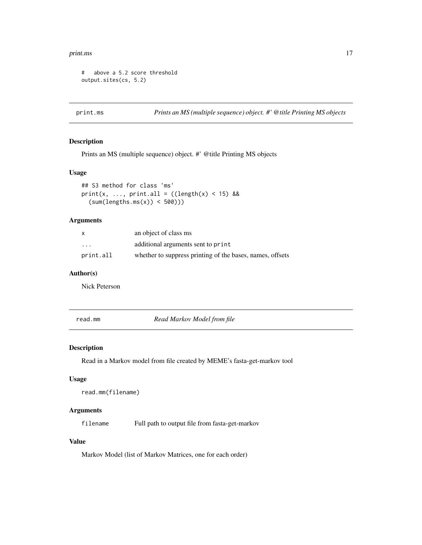#### <span id="page-16-0"></span>print.ms and the contract of the contract of the contract of the contract of the contract of the contract of the contract of the contract of the contract of the contract of the contract of the contract of the contract of t

```
# above a 5.2 score threshold
output.sites(cs, 5.2)
```
<span id="page-16-1"></span>print.ms *Prints an MS (multiple sequence) object. #' @title Printing MS objects*

# Description

Prints an MS (multiple sequence) object. #' @title Printing MS objects

## Usage

```
## S3 method for class 'ms'
print(x, ..., print.all = ((length(x) < 15) &&
  (sum(lengths.ms(x)) < 500)))
```
# Arguments

| X         | an object of class ms                                     |
|-----------|-----------------------------------------------------------|
| $\cdots$  | additional arguments sent to print                        |
| print.all | whether to suppress printing of the bases, names, offsets |

# Author(s)

Nick Peterson

read.mm *Read Markov Model from file*

# Description

Read in a Markov model from file created by MEME's fasta-get-markov tool

# Usage

```
read.mm(filename)
```
# Arguments

filename Full path to output file from fasta-get-markov

# Value

Markov Model (list of Markov Matrices, one for each order)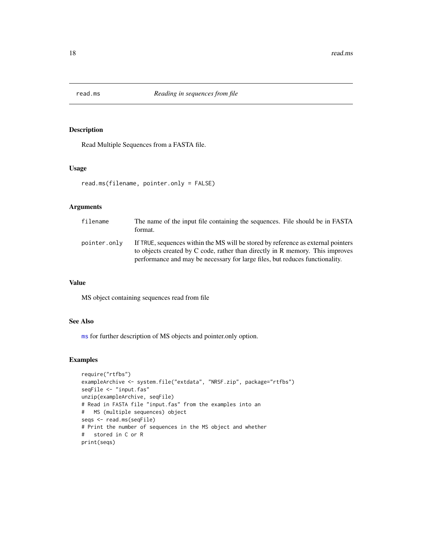<span id="page-17-1"></span><span id="page-17-0"></span>

# Description

Read Multiple Sequences from a FASTA file.

# Usage

```
read.ms(filename, pointer.only = FALSE)
```
## Arguments

| filename     | The name of the input file containing the sequences. File should be in FASTA<br>format.                                                                                                                                                            |
|--------------|----------------------------------------------------------------------------------------------------------------------------------------------------------------------------------------------------------------------------------------------------|
| pointer.only | If TRUE, sequences within the MS will be stored by reference as external pointers<br>to objects created by C code, rather than directly in R memory. This improves<br>performance and may be necessary for large files, but reduces functionality. |

#### Value

MS object containing sequences read from file

# See Also

[ms](#page-12-1) for further description of MS objects and pointer.only option.

```
require("rtfbs")
exampleArchive <- system.file("extdata", "NRSF.zip", package="rtfbs")
seqFile <- "input.fas"
unzip(exampleArchive, seqFile)
# Read in FASTA file "input.fas" from the examples into an
# MS (multiple sequences) object
seqs <- read.ms(seqFile)
# Print the number of sequences in the MS object and whether
# stored in C or R
print(seqs)
```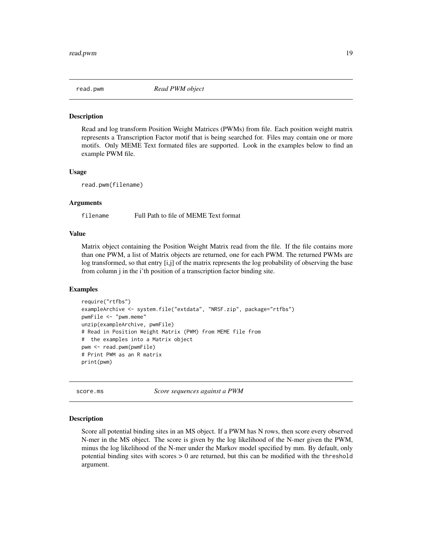<span id="page-18-2"></span><span id="page-18-0"></span>

#### Description

Read and log transform Position Weight Matrices (PWMs) from file. Each position weight matrix represents a Transcription Factor motif that is being searched for. Files may contain one or more motifs. Only MEME Text formated files are supported. Look in the examples below to find an example PWM file.

#### Usage

read.pwm(filename)

#### Arguments

filename Full Path to file of MEME Text format

#### Value

Matrix object containing the Position Weight Matrix read from the file. If the file contains more than one PWM, a list of Matrix objects are returned, one for each PWM. The returned PWMs are log transformed, so that entry [i,j] of the matrix represents the log probability of observing the base from column j in the i'th position of a transcription factor binding site.

#### Examples

```
require("rtfbs")
exampleArchive <- system.file("extdata", "NRSF.zip", package="rtfbs")
pwmFile <- "pwm.meme"
unzip(exampleArchive, pwmFile)
# Read in Position Weight Matrix (PWM) from MEME file from
# the examples into a Matrix object
pwm <- read.pwm(pwmFile)
# Print PWM as an R matrix
print(pwm)
```
<span id="page-18-1"></span>score.ms *Score sequences against a PWM*

#### Description

Score all potential binding sites in an MS object. If a PWM has N rows, then score every observed N-mer in the MS object. The score is given by the log likelihood of the N-mer given the PWM, minus the log likelihood of the N-mer under the Markov model specified by mm. By default, only potential binding sites with scores > 0 are returned, but this can be modified with the threshold argument.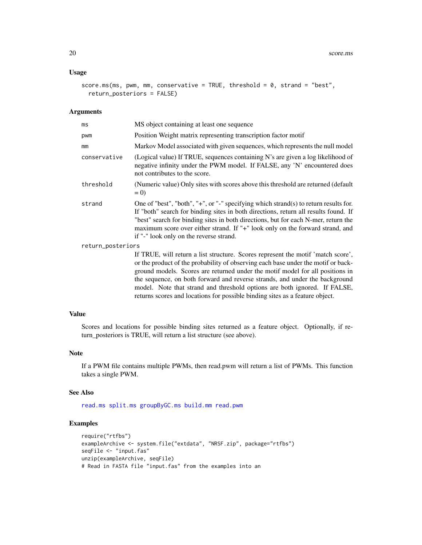#### <span id="page-19-0"></span>Usage

```
score.ms(ms, pwm, mm, conservative = TRUE, threshold = 0, strand = "best",
  return_posteriors = FALSE)
```
#### Arguments

| ms           | MS object containing at least one sequence                                                                                                                                                                                                                                                                                                                                                    |  |
|--------------|-----------------------------------------------------------------------------------------------------------------------------------------------------------------------------------------------------------------------------------------------------------------------------------------------------------------------------------------------------------------------------------------------|--|
| pwm          | Position Weight matrix representing transcription factor motif                                                                                                                                                                                                                                                                                                                                |  |
| mm           | Markov Model associated with given sequences, which represents the null model                                                                                                                                                                                                                                                                                                                 |  |
| conservative | (Logical value) If TRUE, sequences containing N's are given a log likelihood of<br>negative infinity under the PWM model. If FALSE, any 'N' encountered does<br>not contributes to the score.                                                                                                                                                                                                 |  |
| threshold    | (Numeric value) Only sites with scores above this threshold are returned (default)<br>$= 0$                                                                                                                                                                                                                                                                                                   |  |
| strand       | One of "best", "both", "+", or "-" specifying which strand(s) to return results for.<br>If "both" search for binding sites in both directions, return all results found. If<br>"best" search for binding sites in both directions, but for each N-mer, return the<br>maximum score over either strand. If "+" look only on the forward strand, and<br>if "-" look only on the reverse strand. |  |
| $***$        |                                                                                                                                                                                                                                                                                                                                                                                               |  |

return\_posteriors

If TRUE, will return a list structure. Scores represent the motif 'match score', or the product of the probability of observing each base under the motif or background models. Scores are returned under the motif model for all positions in the sequence, on both forward and reverse strands, and under the background model. Note that strand and threshold options are both ignored. If FALSE, returns scores and locations for possible binding sites as a feature object.

#### Value

Scores and locations for possible binding sites returned as a feature object. Optionally, if return\_posteriors is TRUE, will return a list structure (see above).

# Note

If a PWM file contains multiple PWMs, then read.pwm will return a list of PWMs. This function takes a single PWM.

#### See Also

[read.ms](#page-17-1) [split.ms](#page-22-1) [groupByGC.ms](#page-8-1) [build.mm](#page-3-2) [read.pwm](#page-18-2)

```
require("rtfbs")
exampleArchive <- system.file("extdata", "NRSF.zip", package="rtfbs")
seqFile <- "input.fas"
unzip(exampleArchive, seqFile)
# Read in FASTA file "input.fas" from the examples into an
```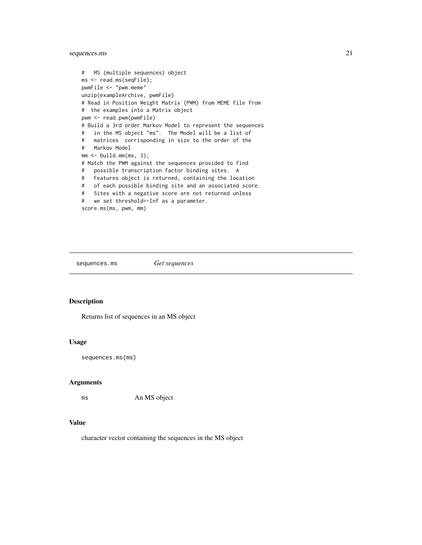# <span id="page-20-0"></span>sequences.ms 21

```
# MS (multiple sequences) object
ms <- read.ms(seqFile);
pwmFile <- "pwm.meme"
unzip(exampleArchive, pwmFile)
# Read in Position Weight Matrix (PWM) from MEME file from
# the examples into a Matrix object
pwm <- read.pwm(pwmFile)
# Build a 3rd order Markov Model to represent the sequences
# in the MS object "ms". The Model will be a list of
# matrices corrisponding in size to the order of the
# Markov Model
mm <- build.mm(ms, 3);# Match the PWM against the sequences provided to find
# possible transcription factor binding sites. A
# Features object is returned, containing the location
# of each possible binding site and an associated score.
# Sites with a negative score are not returned unless
# we set threshold=-Inf as a parameter.
score.ms(ms, pwm, mm)
```
<span id="page-20-1"></span>sequences.ms *Get sequences*

#### Description

Returns list of sequences in an MS object

#### Usage

sequences.ms(ms)

# Arguments

ms An MS object

#### Value

character vector containing the sequences in the MS object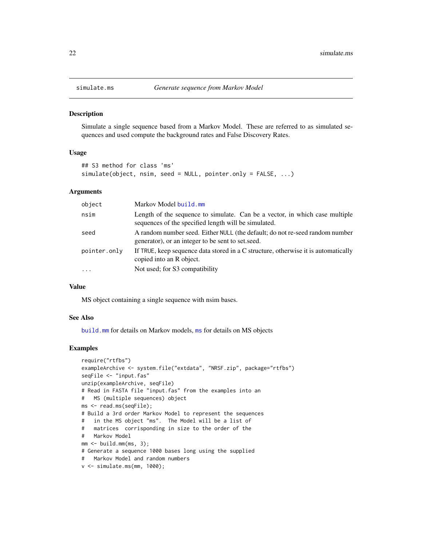<span id="page-21-0"></span>

# **Description**

Simulate a single sequence based from a Markov Model. These are referred to as simulated sequences and used compute the background rates and False Discovery Rates.

#### Usage

```
## S3 method for class 'ms'
simulate(object, nsim, seed = NULL, pointer.only = FALSE, ...)
```
# Arguments

| object       | Markov Model build.mm                                                                                                               |
|--------------|-------------------------------------------------------------------------------------------------------------------------------------|
| nsim         | Length of the sequence to simulate. Can be a vector, in which case multiple<br>sequences of the specified length will be simulated. |
| seed         | A random number seed. Either NULL (the default; do not re-seed random number<br>generator), or an integer to be sent to set seed.   |
| pointer.only | If TRUE, keep sequence data stored in a C structure, otherwise it is automatically<br>copied into an R object.                      |
| $\cdots$     | Not used; for S3 compatibility                                                                                                      |

# Value

MS object containing a single sequence with nsim bases.

#### See Also

[build.mm](#page-3-2) for details on Markov models, [ms](#page-12-1) for details on MS objects

```
require("rtfbs")
exampleArchive <- system.file("extdata", "NRSF.zip", package="rtfbs")
seqFile <- "input.fas"
unzip(exampleArchive, seqFile)
# Read in FASTA file "input.fas" from the examples into an
# MS (multiple sequences) object
ms <- read.ms(seqFile);
# Build a 3rd order Markov Model to represent the sequences
# in the MS object "ms". The Model will be a list of
# matrices corrisponding in size to the order of the
# Markov Model
mm < - build.mm(ms, 3);# Generate a sequence 1000 bases long using the supplied
# Markov Model and random numbers
v <- simulate.ms(mm, 1000);
```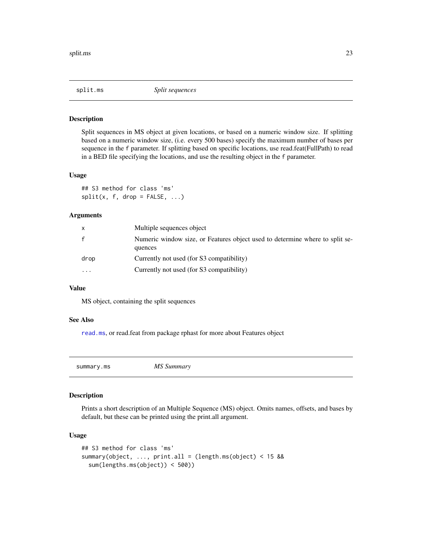<span id="page-22-1"></span><span id="page-22-0"></span>

#### Description

Split sequences in MS object at given locations, or based on a numeric window size. If splitting based on a numeric window size, (i.e. every 500 bases) specify the maximum number of bases per sequence in the f parameter. If splitting based on specific locations, use read.feat(FullPath) to read in a BED file specifying the locations, and use the resulting object in the f parameter.

#### Usage

## S3 method for class 'ms'  $split(x, f, drop = FALSE, ...)$ 

# Arguments

| x            | Multiple sequences object                                                               |
|--------------|-----------------------------------------------------------------------------------------|
| $\mathsf{f}$ | Numeric window size, or Features object used to determine where to split se-<br>quences |
| drop         | Currently not used (for S3 compatibility)                                               |
| $\ddotsc$    | Currently not used (for S3 compatibility)                                               |

# Value

MS object, containing the split sequences

#### See Also

[read.ms](#page-17-1), or read.feat from package rphast for more about Features object

summary.ms *MS Summary*

# Description

Prints a short description of an Multiple Sequence (MS) object. Omits names, offsets, and bases by default, but these can be printed using the print.all argument.

#### Usage

```
## S3 method for class 'ms'
summary(object, ..., print.all = (length.ms(object) < 15 &&
  sum(lengths.ms(object)) < 500))
```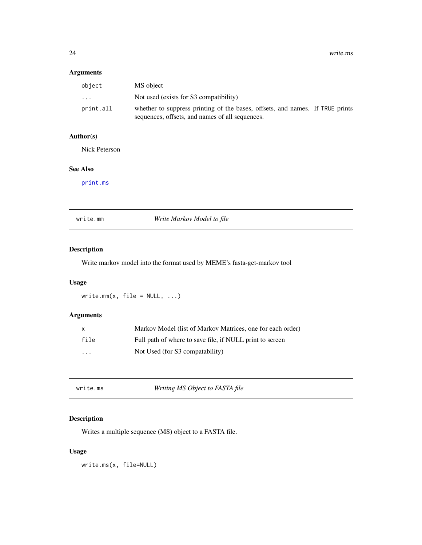# <span id="page-23-0"></span>Arguments

| object    | MS object                                                                                                                        |
|-----------|----------------------------------------------------------------------------------------------------------------------------------|
| $\cdot$   | Not used (exists for S3 compatibility)                                                                                           |
| print.all | whether to suppress printing of the bases, offsets, and names. If TRUE prints<br>sequences, offsets, and names of all sequences. |

# Author(s)

Nick Peterson

# See Also

[print.ms](#page-16-1)

|  |  | write.mm |
|--|--|----------|
|  |  |          |

Write Markov Model to file

# Description

Write markov model into the format used by MEME's fasta-get-markov tool

# Usage

```
write.mm(x, \text{ file} = \text{NULL}, \ldots)
```
# Arguments

| x                       | Markov Model (list of Markov Matrices, one for each order) |
|-------------------------|------------------------------------------------------------|
| file                    | Full path of where to save file, if NULL print to screen   |
| $\cdot$ $\cdot$ $\cdot$ | Not Used (for S3 compatability)                            |

<span id="page-23-1"></span>

| write.ms | Writing MS Object to FASTA file |  |
|----------|---------------------------------|--|
|----------|---------------------------------|--|

# Description

Writes a multiple sequence (MS) object to a FASTA file.

# Usage

write.ms(x, file=NULL)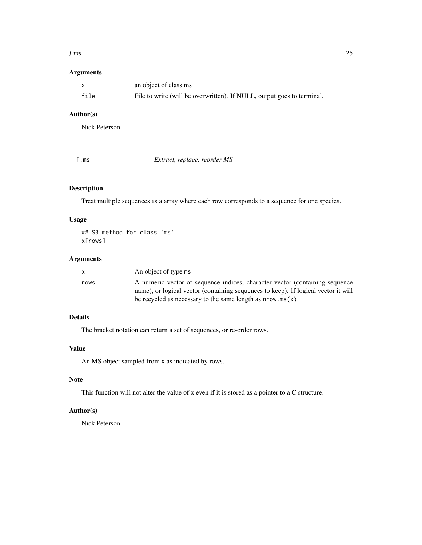#### <span id="page-24-0"></span>[.ms 25

# Arguments

|      | an object of class ms                                                  |
|------|------------------------------------------------------------------------|
| file | File to write (will be overwritten). If NULL, output goes to terminal. |

# Author(s)

Nick Peterson

<span id="page-24-1"></span>

|  |  | ×<br>. .<br>۰. |
|--|--|----------------|
|--|--|----------------|

 $Extract, replace, reorder MS$ 

# Description

Treat multiple sequences as a array where each row corresponds to a sequence for one species.

# Usage

## S3 method for class 'ms' x[rows]

# Arguments

|      | An object of type ms                                                               |
|------|------------------------------------------------------------------------------------|
| rows | A numeric vector of sequence indices, character vector (containing sequence        |
|      | name), or logical vector (containing sequences to keep). If logical vector it will |
|      | be recycled as necessary to the same length as $nrow.ms(x)$ .                      |

# Details

The bracket notation can return a set of sequences, or re-order rows.

# Value

An MS object sampled from x as indicated by rows.

# Note

This function will not alter the value of x even if it is stored as a pointer to a C structure.

# Author(s)

Nick Peterson